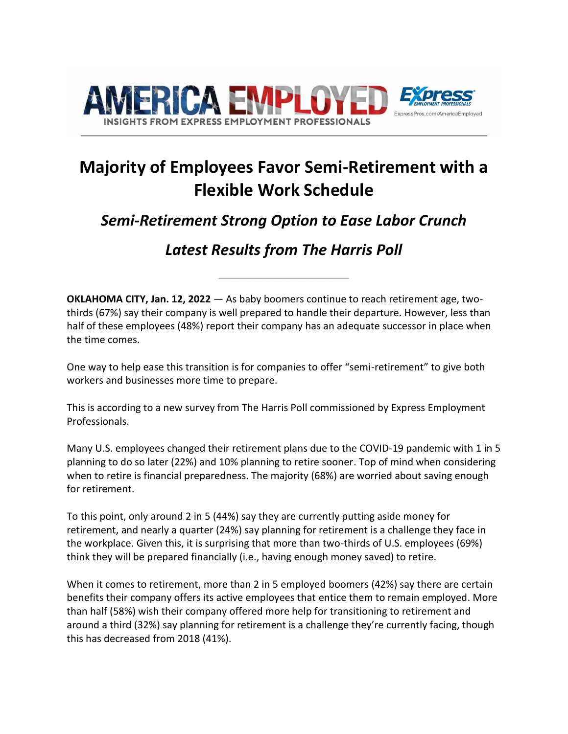

# **Majority of Employees Favor Semi-Retirement with a Flexible Work Schedule**

# *Semi-Retirement Strong Option to Ease Labor Crunch*

# *Latest Results from The Harris Poll*

**\_\_\_\_\_\_\_\_\_\_\_\_\_\_\_\_\_\_\_\_\_**

**OKLAHOMA CITY, Jan. 12, 2022** — As baby boomers continue to reach retirement age, twothirds (67%) say their company is well prepared to handle their departure. However, less than half of these employees (48%) report their company has an adequate successor in place when the time comes.

One way to help ease this transition is for companies to offer "semi-retirement" to give both workers and businesses more time to prepare.

This is according to a new survey from The Harris Poll commissioned by Express Employment Professionals.

Many U.S. employees changed their retirement plans due to the COVID-19 pandemic with 1 in 5 planning to do so later (22%) and 10% planning to retire sooner. Top of mind when considering when to retire is financial preparedness. The majority (68%) are worried about saving enough for retirement.

To this point, only around 2 in 5 (44%) say they are currently putting aside money for retirement, and nearly a quarter (24%) say planning for retirement is a challenge they face in the workplace. Given this, it is surprising that more than two-thirds of U.S. employees (69%) think they will be prepared financially (i.e., having enough money saved) to retire.

When it comes to retirement, more than 2 in 5 employed boomers (42%) say there are certain benefits their company offers its active employees that entice them to remain employed. More than half (58%) wish their company offered more help for transitioning to retirement and around a third (32%) say planning for retirement is a challenge they're currently facing, though this has decreased from 2018 (41%).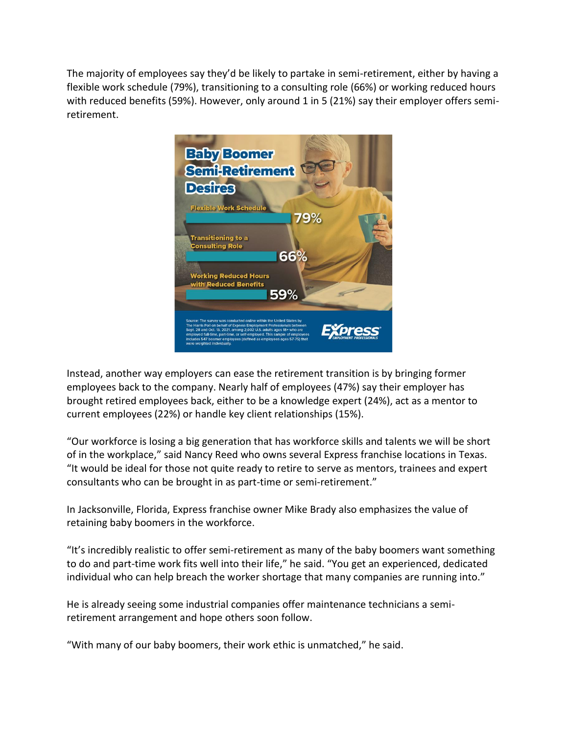The majority of employees say they'd be likely to partake in semi-retirement, either by having a flexible work schedule (79%), transitioning to a consulting role (66%) or working reduced hours with reduced benefits (59%). However, only around 1 in 5 (21%) say their employer offers semiretirement.



Instead, another way employers can ease the retirement transition is by bringing former employees back to the company. Nearly half of employees (47%) say their employer has brought retired employees back, either to be a knowledge expert (24%), act as a mentor to current employees (22%) or handle key client relationships (15%).

"Our workforce is losing a big generation that has workforce skills and talents we will be short of in the workplace," said Nancy Reed who owns several Express franchise locations in Texas. "It would be ideal for those not quite ready to retire to serve as mentors, trainees and expert consultants who can be brought in as part-time or semi-retirement."

In Jacksonville, Florida, Express franchise owner Mike Brady also emphasizes the value of retaining baby boomers in the workforce.

"It's incredibly realistic to offer semi-retirement as many of the baby boomers want something to do and part-time work fits well into their life," he said. "You get an experienced, dedicated individual who can help breach the worker shortage that many companies are running into."

He is already seeing some industrial companies offer maintenance technicians a semiretirement arrangement and hope others soon follow.

"With many of our baby boomers, their work ethic is unmatched," he said.